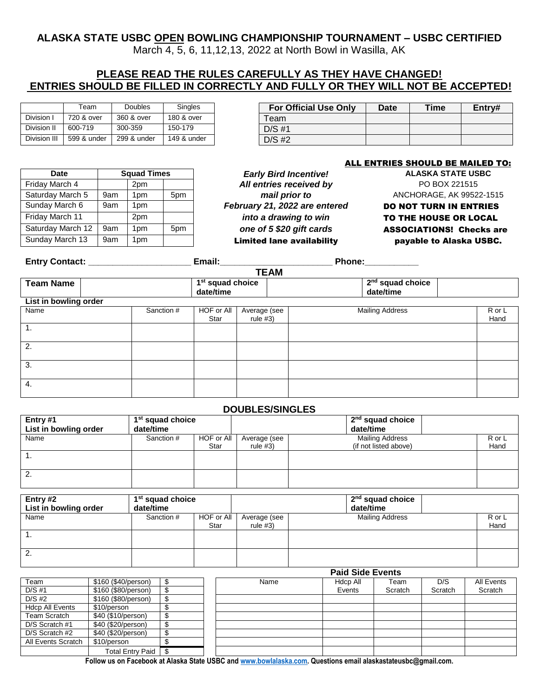# **ALASKA STATE USBC OPEN BOWLING CHAMPIONSHIP TOURNAMENT – USBC CERTIFIED**

March 4, 5, 6, 11,12,13, 2022 at North Bowl in Wasilla, AK

# **PLEASE READ THE RULES CAREFULLY AS THEY HAVE CHANGED! ENTRIES SHOULD BE FILLED IN CORRECTLY AND FULLY OR THEY WILL NOT BE ACCEPTED!**

|              | Team        | <b>Doubles</b> | Singles     | For C    |
|--------------|-------------|----------------|-------------|----------|
| Division I   | 720 & over  | 360 & over     | 180 & over  | Team     |
| Division II  | 600-719     | 300-359        | 150-179     | $D/S$ #1 |
| Division III | 599 & under | 299 & under    | 149 & under | $D/S$ #2 |

| Team    | <b>Doubles</b> | Singles     | <b>For Official Use Only</b> | <b>Date</b> | Time | Entry# |
|---------|----------------|-------------|------------------------------|-------------|------|--------|
| & over  | 360 & over     | 180 & over  | eam                          |             |      |        |
| $-719$  | 300-359        | 150-179     | $D/S$ #1                     |             |      |        |
| & under | 299 & under    | 149 & under | $D/S$ #2                     |             |      |        |

| Date              | <b>Squad Times</b> |                 |     |  |  |
|-------------------|--------------------|-----------------|-----|--|--|
| Friday March 4    |                    | 2pm             |     |  |  |
| Saturday March 5  | 9am                | 1pm             | 5pm |  |  |
| Sunday March 6    | 9am                | 1pm             |     |  |  |
| Friday March 11   |                    | 2pm             |     |  |  |
| Saturday March 12 | 9am                | 1pm             | 5pm |  |  |
| Sunday March 13   | 9am                | 1 <sub>pm</sub> |     |  |  |

*Daty Bird Incentive!* **ALASKA STATE USBC** All entries received by **All entries received by PO BOX 221515** Saturday March 5 9am 1pm 5pm *mail prior to* ANCHORAGE, AK 99522-1515 February 21, 2022 are entered **DO NOT TURN IN ENTRIES** 

### ALL ENTRIES SHOULD BE MAILED TO:

into a drawing to win TO THE HOUSE OR LOCAL one of 5 \$20 gift cards **ASSOCIATIONS!** Checks are  $\frac{1}{\pi}$  1pm  $\frac{1}{\pi}$  2. Limited lane availability rayable to Alaska USBC.

**Entry Contact: \_\_\_\_\_\_\_\_\_\_\_\_\_\_\_\_\_\_\_\_\_ Email:\_\_\_\_\_\_\_\_\_\_\_\_\_\_\_\_\_\_\_\_\_\_\_ Phone:\_\_\_\_\_\_\_\_\_\_\_**

**TEAM**

|                       |  |            |                                           |                          | $1 - 211$ |  |                                           |                |
|-----------------------|--|------------|-------------------------------------------|--------------------------|-----------|--|-------------------------------------------|----------------|
| <b>Team Name</b>      |  |            | 1 <sup>st</sup> squad choice<br>date/time |                          |           |  | 2 <sup>nd</sup> squad choice<br>date/time |                |
| List in bowling order |  |            |                                           |                          |           |  |                                           |                |
| Name                  |  | Sanction # | HOF or All<br>Star                        | Average (see<br>rule #3) |           |  | <b>Mailing Address</b>                    | R or L<br>Hand |
| $\overline{1}$ .      |  |            |                                           |                          |           |  |                                           |                |
| 2.                    |  |            |                                           |                          |           |  |                                           |                |
| 3.                    |  |            |                                           |                          |           |  |                                           |                |
| 4.                    |  |            |                                           |                          |           |  |                                           |                |

### **DOUBLES/SINGLES**

| Entry #1              | 1 <sup>st</sup> squad choice |            |              | 2 <sup>nd</sup> squad choice |        |
|-----------------------|------------------------------|------------|--------------|------------------------------|--------|
| List in bowling order | date/time                    |            |              | date/time                    |        |
| Name                  | Sanction #                   | HOF or All | Average (see | <b>Mailing Address</b>       | R or L |
|                       |                              | Star       | rule $#3)$   | (if not listed above)        | Hand   |
| п.                    |                              |            |              |                              |        |
|                       |                              |            |              |                              |        |
| 2.                    |                              |            |              |                              |        |
|                       |                              |            |              |                              |        |

| Entry #2<br>List in bowling order | 1 <sup>st</sup> squad choice<br>date/time |                    |                            | $2nd$ squad choice<br>date/time |                |
|-----------------------------------|-------------------------------------------|--------------------|----------------------------|---------------------------------|----------------|
| Name                              | Sanction #                                | HOF or All<br>Star | Average (see<br>rule $#3)$ | <b>Mailing Address</b>          | R or L<br>Hand |
| Ί.                                |                                           |                    |                            |                                 |                |
| 2.                                |                                           |                    |                            |                                 |                |

|                        |                         |   | <b>Paid Side Events</b> |          |         |         |            |  |
|------------------------|-------------------------|---|-------------------------|----------|---------|---------|------------|--|
| Team                   | \$160 (\$40/person)     |   | Name                    | Hdcp All | Team    | D/S     | All Events |  |
| $D/S$ #1               | \$160 (\$80/person)     |   |                         | Events   | Scratch | Scratch | Scratch    |  |
| $D/S$ #2               | \$160 (\$80/person)     | จ |                         |          |         |         |            |  |
| <b>Hdcp All Events</b> | \$10/person             |   |                         |          |         |         |            |  |
| Team Scratch           | \$40 (\$10/person)      |   |                         |          |         |         |            |  |
| D/S Scratch #1         | \$40 (\$20/person)      |   |                         |          |         |         |            |  |
| D/S Scratch #2         | \$40 (\$20/person)      | ¢ |                         |          |         |         |            |  |
| All Events Scratch     | \$10/person             |   |                         |          |         |         |            |  |
|                        | <b>Total Entry Paid</b> |   |                         |          |         |         |            |  |

**Follow us on Facebook at Alaska State USBC an[d www.bowlalaska.com.](http://www.bowlalaska.com/) Questions email alaskastateusbc@gmail.com.**